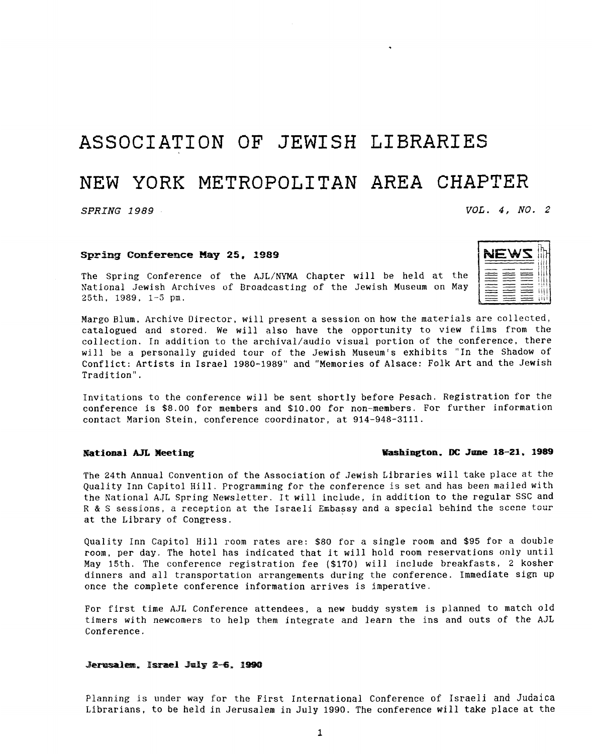## **ASSOCIATION OF JEWISH LIBRARIES**

### NEW YORK **METROPOLITAN** AREA **CHAPTER**

### *SPRING 1989 VOL. 4, NO.* **2**

 $\begin{array}{c} \mathbf{N} \mathbf{E} \mathbf{W} \mathbf{S} \ \mathbf{H} \ \mathbf{H} \ \mathbf{H} \ \mathbf{H} \ \mathbf{H} \ \mathbf{H} \ \mathbf{H} \ \mathbf{H} \ \mathbf{H} \end{array}$ 

#### **Spring Conference May 25, 1989**

The Spring Conference of the AJL/NYMA Chapter will be held at the 25th, 1989, 1-5 pm. National Jewish Archives of Broadcasting of the Jewish Museum on May

Margo Blum, Archive Director, will present a session on how the materials are collected, catalogued and stored. We will also have the opportunity to view films from the collection. In addition to the archival/audio visual portion of the conference, there will be a personally guided tour of the Jewish Museum's exhibits "In the Shadow of Conflict: Artists in Israel 1980-1989" and "Memories of Alsace: Folk Art and the Jewish Tradition".

Invitations to the conference will be sent shortly before Pesach. Registration for the conference is \$8.00 for members and \$10.00 for non-members. For further information contact Marion Stein, conference coordinator, at 914-948-3111.

### **National** *AJL* **Meeting Washington. DC Same 18-21, 1989**

The 24th Annual Convention of the Association of Jewish Libraries will take place at the Quality Inn Capitol Hill. Programming for the conference is set and has been mailed with the National AJL Spring Newsletter. It will include, in addition to the regular SSC and **<sup>R</sup>**& *S* sessions, *a* Teceptiafi at the Israeli **Enibassy** and **a** special behind the scene teur at the Library of Congress.

Quality Inn Capitol Hill room rates are: \$80 for a single room and \$95 for a double room, per day. The hotel has indicated that it will hold room reservations only until May 15th. The conference registration fee (\$170) will include breakfasts, 2 kosher dinners and all transportation arrangements during the conference. Immediate sign up once the complete conference information arrives is imperative.

For first time AJL Conference attendees, a new buddy system is planned to match old timers with newcomers to help them integrate and learn the ins and outs of the **AJL**  Conference.

#### Jerusalem, Israel July 2-6, 1990

Planning is under way for the First International Conference of Israeli and Judaica Librarians, to be held in Jerusalem in July 1990. The conference will take place at the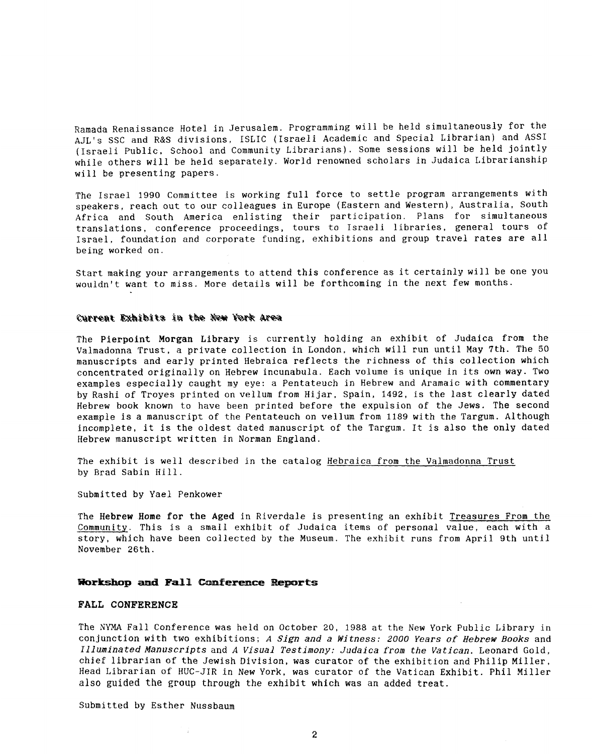Ramada Renaissance Hotel in Jerusalem. Programming will be held simultaneously for the **AJL's** SSC and R&S divisions, ISLIC (Israeli Academic and Special Librarian) and ASS1 (Israeli Public, School and Community Librarians). Some sessions will be held jointly while others will be held separately. World renowned scholars in Judaica Librarianship will be presenting papers.

The Israel 1990 Committee is working full force to settle program arrangements with speakers, reach out to our colleagues in Europe (Eastern and Western), Australia, South Africa and South America enlisting their participation. Plans for simultaneous translations, conference proceedings, tours to Israeli libraries, general tours of Israel, foundation and corporate funding, exhibitions and group travel rates are all being worked on.

Start making your arrangements to attend this conference as it certainly will be one you wouldn't want to miss. More details will be forthcoming in the next few months.

#### Current Exhibits in the New York Area

The **Pierpoint Morgan Library** is currently holding an exhibit of Judaica from the Valmadonna Trust, a private collection in London, which will run until May 7th. The *50*  manuscripts and early printed Hebraica reflects the richness of this collection which concentrated originally on Hebrew incunabula. Each volume is unique in its own way. Two examples especially caught my eye: a Pentateuch in Hebrew and Aramaic with commentary by Rashi of Troyes printed on vellum from Hijar. Spain, 1492, is the last clearly dated Hebrew book known to have been printed before the expulsion of the Jews. The second example is a manuscript of the Pentateuch on vellum from 1189 with the Targum. Although incomplete, it is the oldest dated manuscript of the Targum. It is also the only dated Hebrew manuscript written in Norman England.

The exhibit is well described in the catalog Hebraica from the Valmadonna Trust by Brad Sabin Hill.

Submitted by Yael Penkower

The Hebrew Home for the **Aged** in Riverdale is presenting an exhibit Treasures From the Community. This is a small exhibit of Judaica items of personal value, each with a story, which have been collected by the Museum. The exhibit runs from April 9th until November 26th.

#### Workshop and Fall Conference Reports

#### **FALL CONFERENCE**

The NYMA Fall Conference was held on October 20, 1988 at the New York Public Library in conjunction with two exhibitions; *A Sign and a Witness: 2000 Years* of *Hebrew Books* and *Illuminated Manuscripts* and *A Visual Testimony: Judaica from the Vatican.* Leonard Gold, chief librarian of the Jewish Division, was curator of the exhibition and Philip Miller, Head Librarian of HUC-JIR in New York, was curator of the Vatican Exhibit. Phil Miller also **guided** the **group** through the exhibit which was an **added** treat.

Submitted by Esther Nussbaum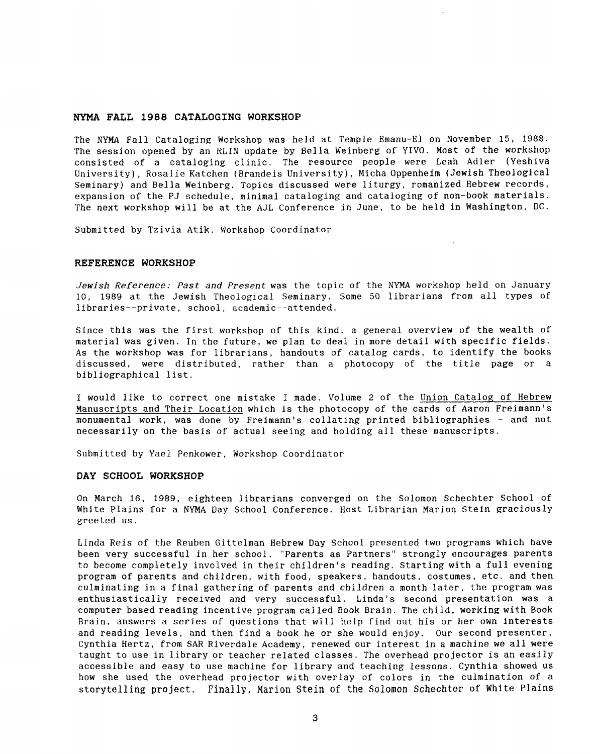#### NYMA **FALL 1988 CATALOGING WORKSHOP**

The NYMA Fall Cataloging Workshop was held at Temple Emanu-El on November **15,** 1988. The session opened by an RLIN update by Bella Weinberg of YIVO. Most of the workshop consisted of a cataloging clinic. The resource people were Leah Adler (Yeshiva University), Rosalie Katchen (Brandeis University), Micha Oppenheim (Jewish Theological Seminary) and Bella Weinberg. Topics discussed were liturgy, romanized Hebrew records, expansion of the PJ schedule, minimal cataloging and cataloging of non-book materials. The next workshop will be at the AJL Conference in June, to be held in Washington, DC.

Submitted by Tzivia Atik, Workshop coordinator

#### **REFERENCE WORKSHOP**

*Jewish Reference: Past* and *Present* was the topic of the NYMA workshop held on January 10, 1989 at the Jewish Theological Seminary. Some *50* librarians from all types of libraries--private, school, academic--attended.

 $\lambda$  .

Since this was the first workshop of this kind, a general overview of the wealth of material was given. In the future, we plan to deal in more detail with specific fields. **As** the workshop was for librarians, handouts of catalog cards, to identify the books discussed, were distributed, rather than a photocopy of the title page or a bibliographical list.

I would like to correct one mistake I made. Volume 2 of the Union Catalog of Hebrew Manuscripts and Their Location which is the photocopy of the cards of Aaron Freimann's monumental work, was done by Freimann's collating printed bibliographies - and not necessarily on the basis of actual seeing and holding all these manuscripts.

Submitted by Yael Penkower, Workshop Coordinator

#### **DAY SCHOOL WORKSHOP**

On March **16,** 1989, eighteen librarians converged on the Solomon Schechter School of White Plains for a NYMA Day School Conference. Host Librarian Marion Stein graciously greeted us.

Linda Reis of the Reuben Gittelman Hebrew Day School presented two programs which have been very successful in her school. "Parents as Partners" strongly encourages parents *to* become completely involved in their children's reading. Starting with a full evening program of parents and children, with food, speakers, handouts, costumes, etc. and then culminating in a final gathering of parents and children a month later, the program was enthusiastically received and very successful. Linda's second presentation was **a**  computer based reading incentive program called Book Brain. The child, working with Book Brain, answers a series of questions that will help find out his or her own interests and reading levels, and then find a book he or she would enjoy. Our second presenter, Cynthia Hertz, from SAR Riverdale Academy, renewed our interest in a machine we all were taught to use in library or teacher related classes. The overhead projector is an easily accessible and easy to use machine for library and teaching lessons. Cynthia showed us how she used the overhead projector with overlay of colors in the culmination of a storytelling project. Finally, Marion Stein of the Solomon Schechter of White Plains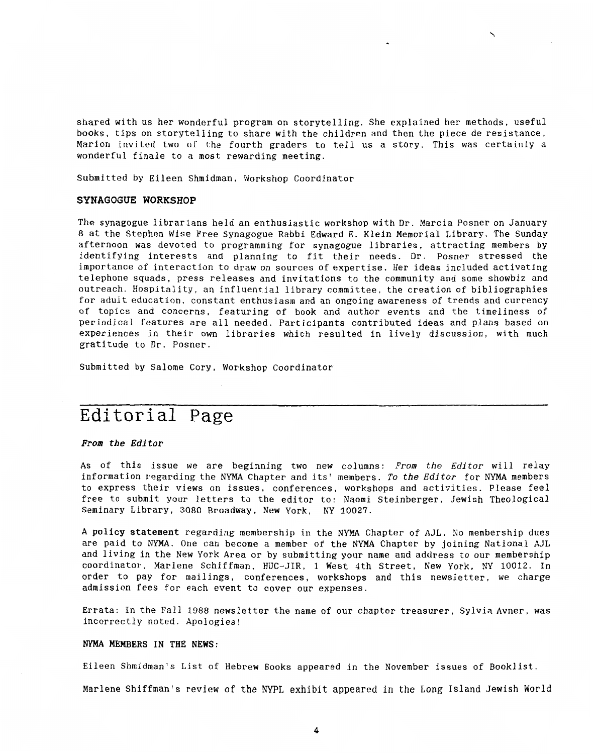shared with us her wonderful program on storytelling. She explained her methods, useful books, tips on storytelling to share with the children and then the piece de resistance, Marion invited two of the fourth graders to tell us a story. This was certainly a wonderful finale to a most rewarding meeting.

 $\overline{\phantom{0}}$ 

Submitted by Eileen Shmidman, Workshop Coordinator

#### **SYNAGOGUE WORKSHOP**

The synagogue librarians held an enthusiastic workshop with Dr. Marcia Posner on January *8* at the Stephen Wise Free Synagogue Rabbi Edward E. Klein Memorial Library. The Sunday afternoon was devoted to programming for synagogue libraries, attracting members by identifying interests and planning to fit their needs. **Dr.** Posner stressed the importance of interaction to draw on sources of expertise. Her ideas included activating telephone squads, press releases and invitations to the community and some showbiz and outreach. Hospitality, an influential library committee. the creation of bibliographies for adult education, constant enthusiasm and an ongoing awareness of trends and currency of topics and concerns, featuring of book and author events and the timeliness of periodical features are all needed. Participants contributed ideas and plans based on experiences in their own libraries which resulted in lively discussion, with much gratitude to Dr. Posner.

Submitted by Salome Cory, Workshop Coordinator

# Editorial Page

#### *From the Editor*

As of this issue we are beginning two new columns: From *the Editor* will relay information regarding the NYMA Chapter and its' members. *To the Editor* for NYMA members to express their views on issues, conferences, workshops and activities. Please feel free to submit your letters to the editor to: Naomi Steinberger, Jewish Theological Seminary Library, *3080* Broadway, New York, NY 10027.

A **policy statement** regarding membership in the NYMA Chapter of AJL. *30* membership dues are paid to NYMA. One can become a member of the **NYMA** Chapter **by** joining National **AJL**  and living in the New York Area or by submitting your name and address to our membership coordinator, Marlene Schiffman, HUC-JIR, 1 West 4th Street, New York, NY 10012. **In**  order to pay for mailings, conferences, workshops and this newsletter, we charge admission fees for each event to cover our expenses.

Errata: In the Fall 1988 newsletter the name of our chapter treasurer, Sylvia Avner, was incorrectly noted. Apologies!

#### **NYMA MEMBERS IN THE NEWS:**

Eileen Shmidman's List of Hebrew Books appeared in the November issues of Booklist.

Marlene Shiffman's review of the NYPL exhibit appeared in the **Long** Island Jewish World